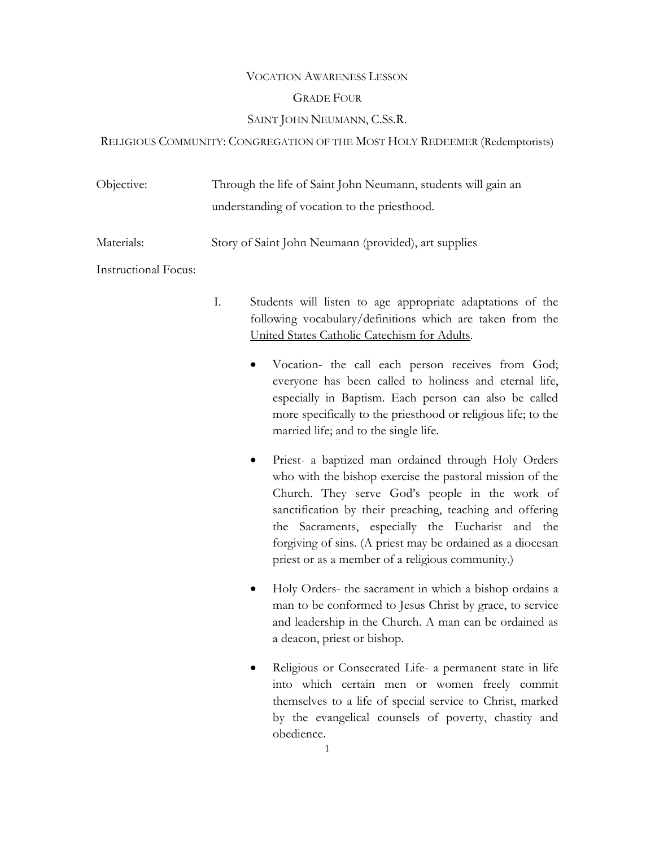## VOCATION AWARENESS LESSON

## GRADE FOUR

# SAINT JOHN NEUMANN, C.SS.R.

# RELIGIOUS COMMUNITY: CONGREGATION OF THE MOST HOLY REDEEMER (Redemptorists)

| Objective: | Through the life of Saint John Neumann, students will gain an |
|------------|---------------------------------------------------------------|
|            | understanding of vocation to the priesthood.                  |
| Materials: | Story of Saint John Neumann (provided), art supplies          |

Instructional Focus:

- I. Students will listen to age appropriate adaptations of the following vocabulary/definitions which are taken from the United States Catholic Catechism for Adults.
	- Vocation- the call each person receives from God; everyone has been called to holiness and eternal life, especially in Baptism. Each person can also be called more specifically to the priesthood or religious life; to the married life; and to the single life.
	- Priest- a baptized man ordained through Holy Orders who with the bishop exercise the pastoral mission of the Church. They serve God's people in the work of sanctification by their preaching, teaching and offering the Sacraments, especially the Eucharist and the forgiving of sins. (A priest may be ordained as a diocesan priest or as a member of a religious community.)
	- Holy Orders- the sacrament in which a bishop ordains a man to be conformed to Jesus Christ by grace, to service and leadership in the Church. A man can be ordained as a deacon, priest or bishop.
	- Religious or Consecrated Life- a permanent state in life into which certain men or women freely commit themselves to a life of special service to Christ, marked by the evangelical counsels of poverty, chastity and obedience.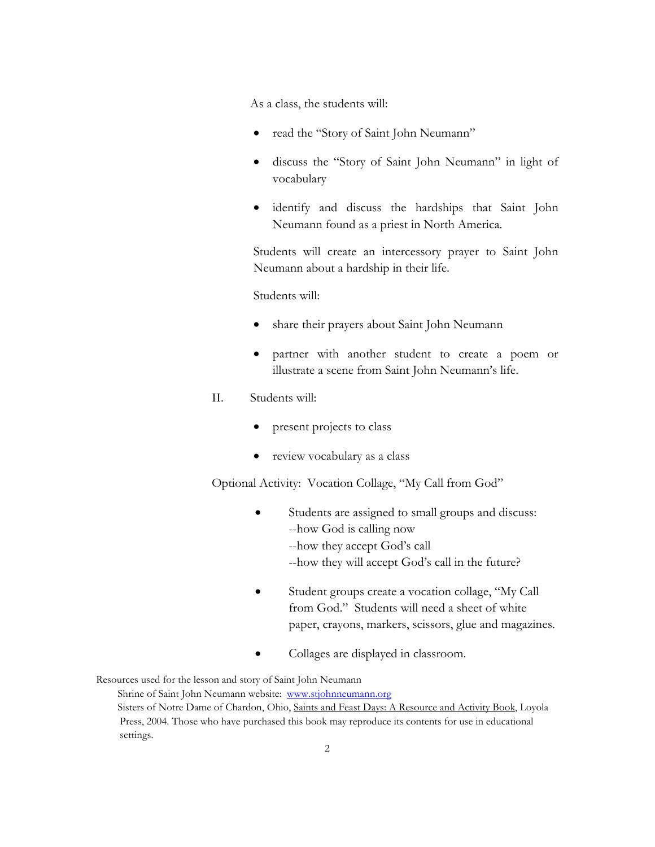As a class, the students will:

- read the "Story of Saint John Neumann"
- discuss the "Story of Saint John Neumann" in light of vocabulary
- identify and discuss the hardships that Saint John Neumann found as a priest in North America.

Students will create an intercessory prayer to Saint John Neumann about a hardship in their life.

Students will:

- share their prayers about Saint John Neumann
- partner with another student to create a poem or illustrate a scene from Saint John Neumann's life.
- II. Students will:
	- present projects to class
	- review vocabulary as a class

Optional Activity: Vocation Collage, "My Call from God"

- Students are assigned to small groups and discuss: --how God is calling now --how they accept God's call --how they will accept God's call in the future?
- Student groups create a vocation collage, "My Call from God." Students will need a sheet of white paper, crayons, markers, scissors, glue and magazines.
- Collages are displayed in classroom.

Resources used for the lesson and story of Saint John Neumann

Shrine of Saint John Neumann website: www.stjohnneumann.org Sisters of Notre Dame of Chardon, Ohio, Saints and Feast Days: A Resource and Activity Book, Loyola Press, 2004. Those who have purchased this book may reproduce its contents for use in educational settings.